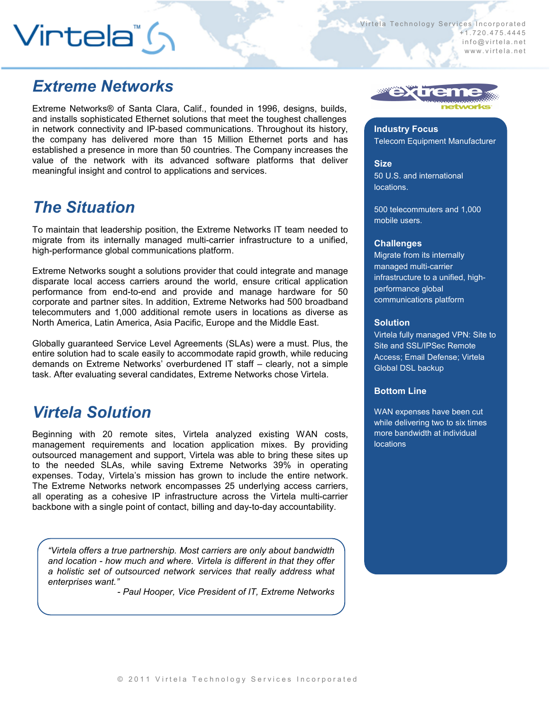# $V$ irtela" ( $\gamma$

Virtela Technology Services Incorporated + 1 . 7 2 0 . 4 7 5 . 4 4 4 5 info@virtela.net www.virtela.net

## *Extreme Networks*

Extreme Networks® of Santa Clara, Calif., founded in 1996, designs, builds, and installs sophisticated Ethernet solutions that meet the toughest challenges in network connectivity and IP-based communications. Throughout its history, the company has delivered more than 15 Million Ethernet ports and has established a presence in more than 50 countries. The Company increases the value of the network with its advanced software platforms that deliver meaningful insight and control to applications and services.

## *The Situation*

To maintain that leadership position, the Extreme Networks IT team needed to migrate from its internally managed multi-carrier infrastructure to a unified, high-performance global communications platform.

Extreme Networks sought a solutions provider that could integrate and manage disparate local access carriers around the world, ensure critical application performance from end-to-end and provide and manage hardware for 50 corporate and partner sites. In addition, Extreme Networks had 500 broadband telecommuters and 1,000 additional remote users in locations as diverse as North America, Latin America, Asia Pacific, Europe and the Middle East.

Globally guaranteed Service Level Agreements (SLAs) were a must. Plus, the entire solution had to scale easily to accommodate rapid growth, while reducing demands on Extreme Networks' overburdened IT staff – clearly, not a simple task. After evaluating several candidates, Extreme Networks chose Virtela.

## *Virtela Solution*

Beginning with 20 remote sites, Virtela analyzed existing WAN costs, management requirements and location application mixes. By providing outsourced management and support, Virtela was able to bring these sites up to the needed SLAs, while saving Extreme Networks 39% in operating expenses. Today, Virtela's mission has grown to include the entire network. The Extreme Networks network encompasses 25 underlying access carriers, all operating as a cohesive IP infrastructure across the Virtela multi-carrier backbone with a single point of contact, billing and day-to-day accountability.

*"Virtela offers a true partnership. Most carriers are only about bandwidth and location - how much and where. Virtela is different in that they offer a holistic set of outsourced network services that really address what enterprises want."* 

*- Paul Hooper, Vice President of IT, Extreme Networks* 



**Industry Focus** Telecom Equipment Manufacturer

**Size** 50 U.S. and international locations.

500 telecommuters and 1,000 mobile users.

### **Challenges**

Migrate from its internally managed multi-carrier infrastructure to a unified, highperformance global communications platform

#### **Solution**

Virtela fully managed VPN: Site to Site and SSL/IPSec Remote Access; Email Defense; Virtela Global DSL backup

### **Bottom Line**

WAN expenses have been cut while delivering two to six times more bandwidth at individual locations